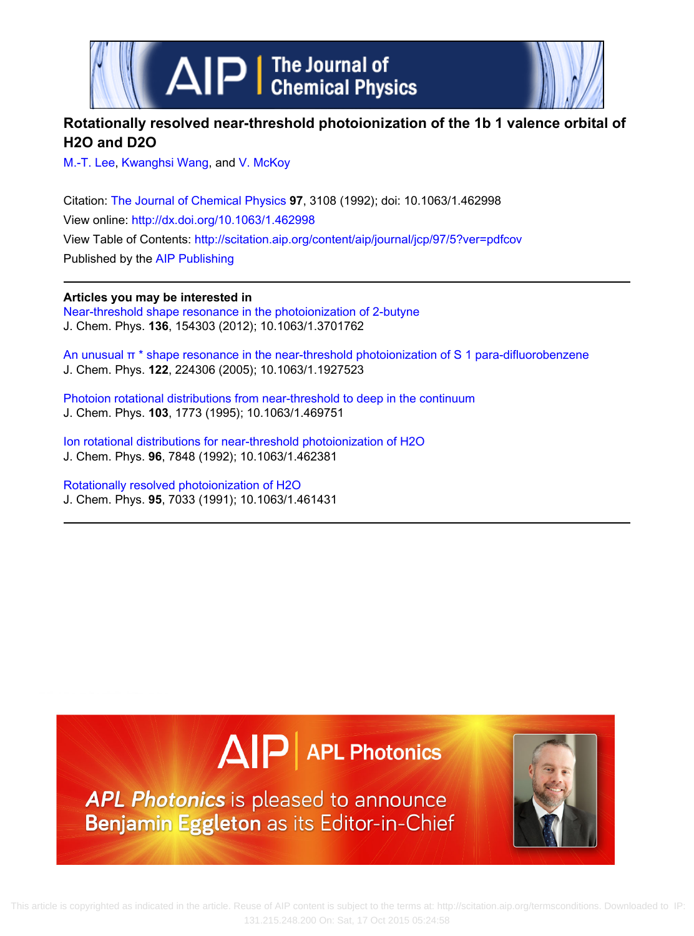



# **Rotationally resolved near‐threshold photoionization of the 1b 1 valence orbital of H2O and D2O**

[M.‐T. Lee](http://scitation.aip.org/search?value1=M.T.+Lee&option1=author), [Kwanghsi Wang](http://scitation.aip.org/search?value1=Kwanghsi+Wang&option1=author), and [V. McKoy](http://scitation.aip.org/search?value1=V.+McKoy&option1=author)

Citation: [The Journal of Chemical Physics](http://scitation.aip.org/content/aip/journal/jcp?ver=pdfcov) **97**, 3108 (1992); doi: 10.1063/1.462998 View online:<http://dx.doi.org/10.1063/1.462998> View Table of Contents: <http://scitation.aip.org/content/aip/journal/jcp/97/5?ver=pdfcov> Published by the [AIP Publishing](http://scitation.aip.org/content/aip?ver=pdfcov)

**Articles you may be interested in** [Near-threshold shape resonance in the photoionization of 2-butyne](http://scitation.aip.org/content/aip/journal/jcp/136/15/10.1063/1.3701762?ver=pdfcov) J. Chem. Phys. **136**, 154303 (2012); 10.1063/1.3701762

[An unusual π \\* shape resonance in the near-threshold photoionization of S 1 para-difluorobenzene](http://scitation.aip.org/content/aip/journal/jcp/122/22/10.1063/1.1927523?ver=pdfcov) J. Chem. Phys. **122**, 224306 (2005); 10.1063/1.1927523

Photoion rotational distributions from near-threshold to deep in the continuum J. Chem. Phys. **103**, 1773 (1995); 10.1063/1.469751

Ion rotational distributions for near-threshold photoionization of H2O J. Chem. Phys. **96**, 7848 (1992); 10.1063/1.462381

[Rotationally resolved photoionization of H2O](http://scitation.aip.org/content/aip/journal/jcp/95/10/10.1063/1.461431?ver=pdfcov) J. Chem. Phys. **95**, 7033 (1991); 10.1063/1.461431





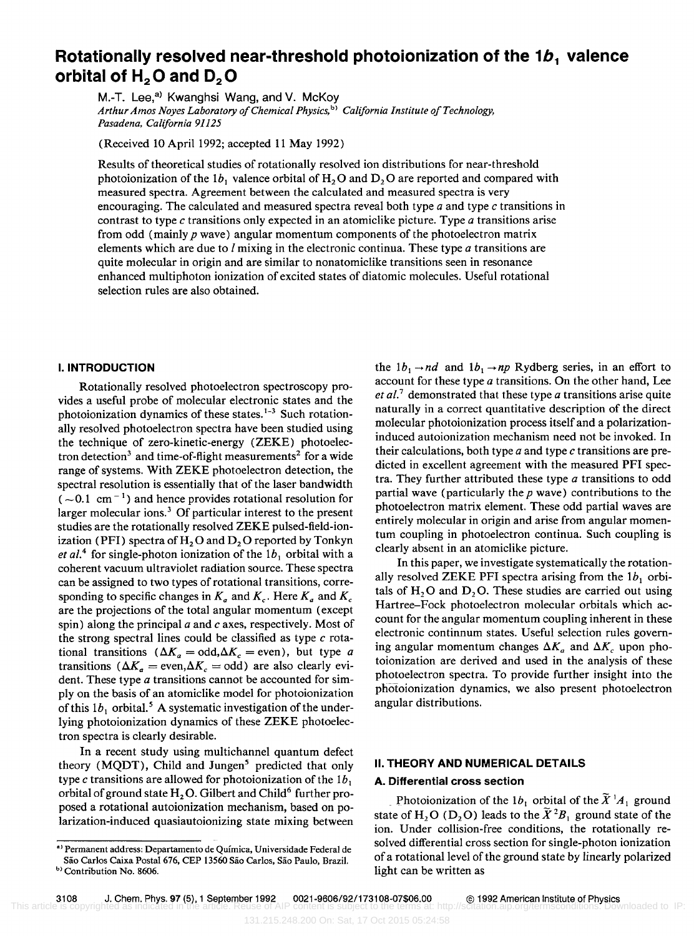# **Rotationally resolved near-threshold photoionization of the 1b<sub>1</sub> valence orbital of H<sub>2</sub>O and D<sub>2</sub>O**

M.-T. Lee,<sup>a)</sup> Kwanghsi Wang, and V. McKoy *Arthur Amos Noyes Laboratory of Chemical Physics,* b) *California Institute of Technology, Pasadena, California 91125* 

(Received 10 April 1992; accepted 11 May 1992)

Results of theoretical studies of rotationally resolved ion distributions for near-threshold photoionization of the  $1b_1$  valence orbital of H<sub>2</sub>O and D<sub>2</sub>O are reported and compared with measured spectra. Agreement between the calculated and measured spectra is very encouraging. The calculated and measured spectra reveal both type  $a$  and type  $c$  transitions in contrast to type  $c$  transitions only expected in an atomiclike picture. Type  $a$  transitions arise from odd (mainly *p* wave) angular momentum components of the photoelectron matrix elements which are due to  $l$  mixing in the electronic continua. These type  $a$  transitions are quite molecular in origin and are similar to nonatomiclike transitions seen in resonance enhanced multiphoton ionization of excited states of diatomic molecules. Useful rotational selection rules are also obtained.

### I. INTRODUCTION

Rotationally resolved photoelectron spectroscopy provides a useful probe of molecular electronic states and the photoionization dynamics of these states.<sup>1-3</sup> Such rotationally resolved photoelectron spectra have been studied using the technique of zero-kinetic-energy (ZEKE) photoelectron detection<sup>3</sup> and time-of-flight measurements<sup>2</sup> for a wide range of systems. With ZEKE photoelectron detection, the spectral resolution is essentially that of the laser bandwidth  $(-0.1 \text{ cm}^{-1})$  and hence provides rotational resolution for larger molecular ions.<sup>3</sup> Of particular interest to the present studies are the rotationally resolved ZEKE pulsed-field-ionization (PFI) spectra of  $H$ , O and  $D$ , O reported by Tonkyn *et al.*<sup>4</sup> for single-photon ionization of the  $1b_1$  orbital with a coherent vacuum ultraviolet radiation source. These spectra can be assigned to two types of rotational transitions, corresponding to specific changes in  $K_a$  and  $K_c$ . Here  $K_a$  and  $K_c$ are the projections of the total angular momentum (except spin) along the principal  $a$  and  $c$  axes, respectively. Most of the strong spectral lines could be classified as type  $c$  rotational transitions  $(\Delta K_a = \text{odd}, \Delta K_c = \text{even})$ , but type a transitions  $(\Delta K_a = \text{even}, \Delta K_c = \text{odd})$  are also clearly evident. These type *a* transitions cannot be accounted for simply on the basis of an atomiclike model for photoionization of this  $1b_1$  orbital.<sup>5</sup> A systematic investigation of the underlying photoionization dynamics of these ZEKE photoelectron spectra is clearly desirable.

In a recent study using multichannel quantum defect theory (MODT), Child and Jungen<sup>5</sup> predicted that only type c transitions are allowed for photoionization of the  $1b_1$ orbital of ground state  $H<sub>2</sub>O$ . Gilbert and Child<sup>6</sup> further proposed a rotational autoionization mechanism, based on polarization-induced quasiautoionizing state mixing between

the  $1b_1 \rightarrow nd$  and  $1b_1 \rightarrow np$  Rydberg series, in an effort to account for these type  $a$  transitions. On the other hand, Lee *et af.?* demonstrated that these type *a* transitions arise quite naturally in a correct quantitative description of the direct molecular photoionization process itself and a polarizationinduced autoionization mechanism need not be invoked. In their calculations, both type  $a$  and type  $c$  transitions are predicted in excellent agreement with the measured PFI spectra. They further attributed these type *a* transitions to odd partial wave (particularly the *p* wave) contributions to the photoelectron matrix element. These odd partial waves are entirely molecular in origin and arise from angular momentum coupling in photoelectron continua. Such coupling is clearly absent in an atomiclike picture.

In this paper, we investigate systematically the rotationally resolved ZEKE PFI spectra arising from the  $1b_1$  orbitals of  $H_2O$  and  $D_2O$ . These studies are carried out using Hartree-Fock photoelectron molecular orbitals which account for the angular momentum coupling inherent in these electronic continnum states. Useful selection rules governing angular momentum changes  $\Delta K_a$  and  $\Delta K_c$  upon photoionization are derived and used in the analysis of these photoelectron spectra. To provide further insight into the photoionization dynamics, we also present photoelectron angular distributions.

### II. THEORY AND NUMERICAL DETAILS

# A. Differential cross section

Photoionization of the  $1b_1$  orbital of the  $\tilde{X}^{\dagger}A_1$  ground state of H<sub>2</sub>O (D<sub>2</sub>O) leads to the  $\widetilde{X}^2B_1$  ground state of the ion. Under collision-free conditions, the rotationally resolved differential cross section for single-photon ionization of a rotational level of the ground state by linearly polarized light can be written as

<sup>&</sup>lt;sup>a)</sup> Permanent address: Departamento de Química, Universidade Federal de São Carlos Caixa Postal 676, CEP 13560 São Carlos, São Paulo, Brazil. b) Contribution No. 8606.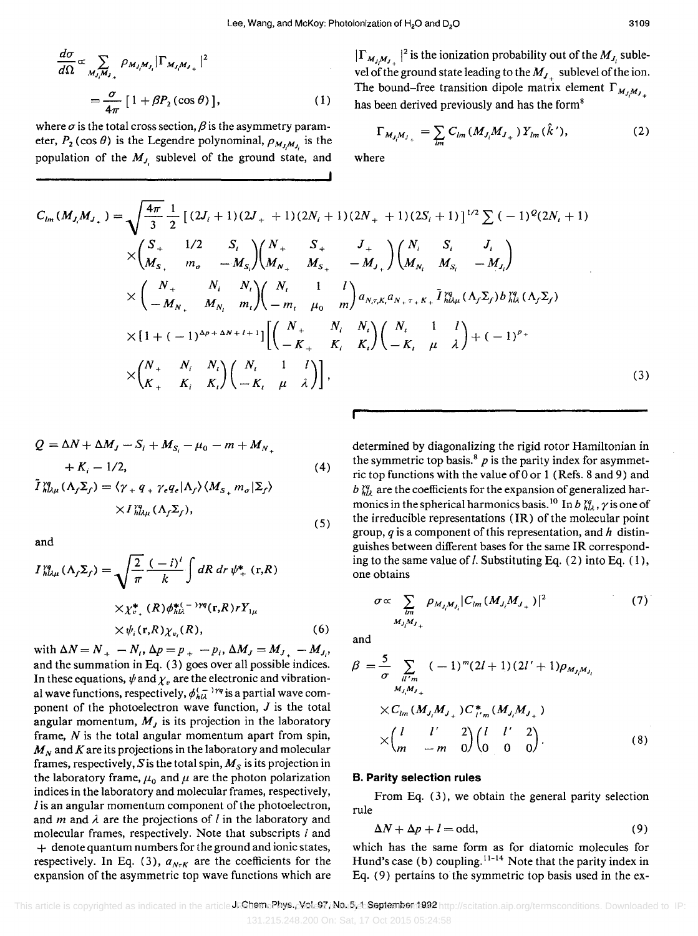$$
\frac{d\sigma}{d\Omega} \propto \sum_{M_j, M_j} \rho_{M_j, M_j} |\Gamma_{M_j, M_{j+}}|^2
$$

$$
= \frac{\sigma}{4\pi} [1 + \beta P_2(\cos \theta)], \qquad (1)
$$

where  $\sigma$  is the total cross section,  $\beta$  is the asymmetry parameter,  $P_2$  (cos  $\theta$ ) is the Legendre polynominal,  $\rho_{M_t, M_t}$  is the population of the  $M_J$  sublevel of the ground state, and  $|\Gamma_{M_iM_j}|^2$  is the ionization probability out of the  $M_{J_i}$  sublevel of the ground state leading to the  $M_J$  sublevel of the ion. The bound-free transition dipole matrix element  $\Gamma_{M_J M_J}$ has been derived previously and has the form<sup>8</sup>

$$
\Gamma_{M_{J_i}M_{J_{+}}} = \sum_{lm} C_{lm} (M_{J_i}M_{J_{+}}) Y_{lm} (\hat{k}'), \qquad (2)
$$

where

$$
C_{lm}(M_{J_i}M_{J_{+}}) = \sqrt{\frac{4\pi}{3}} \frac{1}{2} [(2J_i + 1)(2J_{+} + 1)(2N_i + 1)(2N_{+} + 1)(2S_i + 1)]^{1/2} \sum (-1)^{Q} (2N_i + 1)
$$
  
\n
$$
\times \begin{pmatrix} S_{+} & 1/2 & S_{i} \\ M_{S_{+}} & m_{\sigma} & -M_{S_{i}} \end{pmatrix} \begin{pmatrix} N_{+} & S_{+} & J_{+} \\ M_{N_{+}} & M_{S_{+}} & -M_{J_{+}} \end{pmatrix} \begin{pmatrix} N_{i} & S_{i} & J_{i} \\ M_{N_{i}} & M_{S_{i}} & -M_{J_{i}} \end{pmatrix}
$$
  
\n
$$
\times \begin{pmatrix} N_{+} & N_{i} & N_{i} \\ -M_{N_{+}} & M_{N_{i}} & m_{i} \end{pmatrix} \begin{pmatrix} N_{i} & 1 & l \\ -m_{i} & \mu_{0} & m \end{pmatrix} a_{N,\tau,K_{i}} a_{N_{+}+\tau_{+}} \tilde{I}_{h\lambda\mu}^{q} (\Lambda_{f} \Sigma_{f}) b_{h\lambda}^{q} (\Lambda_{f} \Sigma_{f})
$$
  
\n
$$
\times [1 + (-1)^{\Delta p + \Delta N + l + 1}] \begin{bmatrix} N_{+} & N_{i} & N_{i} \\ -K_{+} & K_{i} & K_{i} \end{bmatrix} \begin{pmatrix} N_{i} & 1 & l \\ -K_{i} & \mu & \lambda \end{pmatrix} + (-1)^{p_{+}}
$$
  
\n
$$
\times \begin{pmatrix} N_{+} & N_{i} & N_{i} \\ K_{+} & K_{i} & K_{i} \end{pmatrix} \begin{pmatrix} N_{i} & 1 & l \\ -K_{t} & \mu & \lambda \end{pmatrix} ,
$$
\n(3)

$$
Q = \Delta N + \Delta M_J - S_i + M_{S_i} - \mu_0 - m + M_{N_+}
$$
  
+  $K_i - 1/2$ ,  

$$
\tilde{I}_{h l \mu}^{\gamma q} (\Lambda_f \Sigma_f) = \langle \gamma_+ q_+ \gamma_e q_e | \Lambda_f \rangle \langle M_{S_+} m_\sigma | \Sigma_f \rangle
$$
  

$$
\times I_{h l \mu}^{\gamma q} (\Lambda_f \Sigma_f),
$$
 (5)

and

$$
I_{h\lambda\mu}^{sq}(\Lambda_f \Sigma_f) = \sqrt{\frac{2}{\pi}} \frac{(-i)^l}{k} \int dR \, dr \, \psi_+^* (\mathbf{r}, R)
$$
  
× $\chi_{v_+}^* (R) \phi_{h\lambda}^{*(-)} \eta(\mathbf{r}, R) r Y_{1\mu}$   
× $\psi_i(\mathbf{r}, R) \chi_{v_i}(R)$ , (6)

with  $\Delta N = N_{+} - N_{i}$ ,  $\Delta p = p_{+} - p_{i}$ ,  $\Delta M_{J} = M_{J_{+}} - M_{J_{i}}$ , and the summation in Eq. (3) goes over all possible indices. In these equations,  $\psi$  and  $\chi_{\nu}$  are the electronic and vibrational wave functions, respectively,  $\phi_{h\lambda}^{(-)}$  is a partial wave component of the photoelectron wave function,  $J$  is the total angular momentum,  $M<sub>J</sub>$  is its projection in the laboratory frame, *N* is the total angular momentum apart from spin,  $M_N$  and  $K$  are its projections in the laboratory and molecular frames, respectively, S is the total spin,  $M<sub>S</sub>$  is its projection in the laboratory frame,  $\mu_0$  and  $\mu$  are the photon polarization indices in the laboratory and molecular frames, respectively, I is an angular momentum component of the photoelectron, and *m* and  $\lambda$  are the projections of *l* in the laboratory and molecular frames, respectively. Note that subscripts  $i$  and  $+$  denote quantum numbers for the ground and ionic states, respectively. In Eq. (3),  $a_{NrK}$  are the coefficients for the expansion of the asymmetric top wave functions which are

determined by diagonalizing the rigid rotor Hamiltonian in the symmetric top basis.<sup>8</sup>  $p$  is the parity index for asymmetric top functions with the value of 0 or 1 (Refs. 8 and 9) and  $b_{h\lambda}^{\gamma q}$  are the coefficients for the expansion of generalized harmonics in the spherical harmonics basis.<sup>10</sup> In b  $\chi^2$ ,  $\gamma$  is one of the irreducible representations  $(IR)$  of the molecular point group, *q* is a component of this representation, and *h* distinguishes between different bases for the same IR corresponding to the same value of  $l$ . Substituting Eq. (2) into Eq. (1), one obtains

$$
\sigma \propto \sum_{\substack{lm}} \rho_{M_{J_i} M_{J_i}} |C_{lm} (M_{J_i} M_{J_{+}})|^2
$$
\n(7)

and

$$
\beta = \frac{5}{\sigma} \sum_{\substack{l l' m \\ M_{J_i} M_{J_{+}}}} (-1)^{m} (2l+1) (2l' + 1) \rho_{M_{J_i} M_{J_i}} \times C_{lm} (M_{J_i} M_{J_{+}}) C_{l'm}^{*} (M_{J_i} M_{J_{+}}) \times \begin{pmatrix} l & l' & 2 \\ m & -m & 0 \end{pmatrix} \begin{pmatrix} l & l' & 2 \\ 0 & 0 & 0 \end{pmatrix}.
$$
 (8)

#### B. Parity selection rules

From Eq. (3), we obtain the general parity selection rule

$$
\Delta N + \Delta p + l = \text{odd},\tag{9}
$$

which has the same form as for diatomic molecules for Hund's case (b) coupling.  $11-14$  Note that the parity index in Eq. (9) pertains to the symmetric top basis used in the ex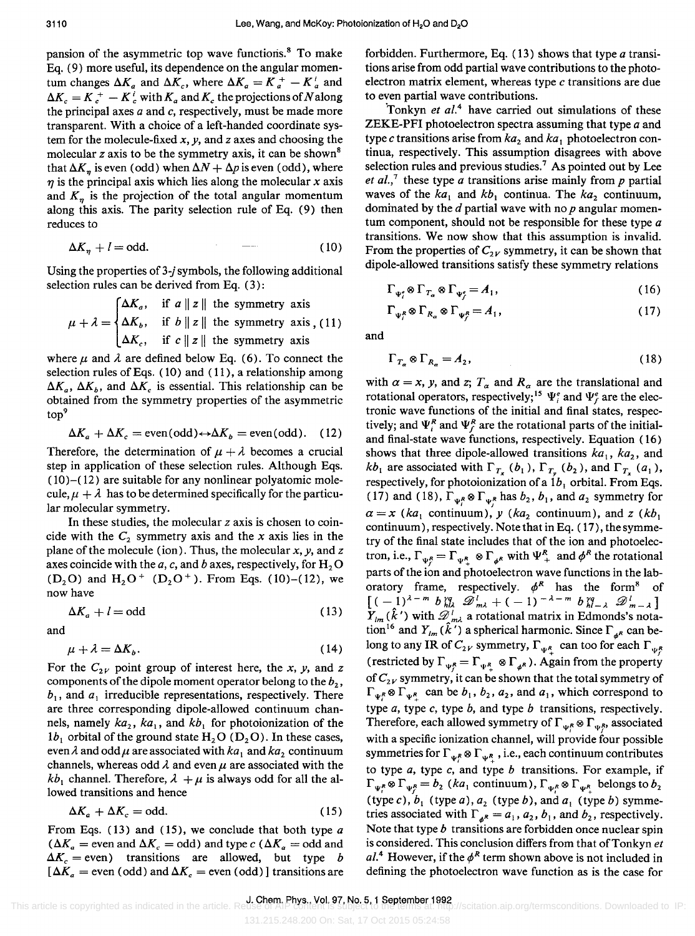pansion of the asymmetric top wave functions.<sup>8</sup> To make Eq. (9) more useful, its dependence on the angular momentum changes  $\Delta K_a$  and  $\Delta K_c$ , where  $\Delta K_a = K_a^+ - K_a^i$  and  $\Delta K_c = K_c^+ - K_c^i$  with  $K_a$  and  $K_c$  the projections of *N* along the principal axes  $a$  and  $c$ , respectively, must be made more transparent. With a choice of a left-handed coordinate system for the molecule-fixed *x, y,* and *z* axes and choosing the molecular *z* axis to be the symmetry axis, it can be shown<sup>8</sup> that  $\Delta K_n$  is even (odd) when  $\Delta N + \Delta p$  is even (odd), where  $\eta$  is the principal axis which lies along the molecular *x* axis and  $K<sub>n</sub>$  is the projection of the total angular momentum along this axis. The parity selection rule of Eq. (9) then reduces to

$$
\Delta K_{\eta} + l = \text{odd.} \tag{10}
$$

Using the properties of *3-j* symbols, the following additional selection rules can be derived from Eq. (3):

$$
\mu + \lambda = \begin{cases} \Delta K_a, & \text{if } a \parallel z \parallel \text{ the symmetry axis} \\ \Delta K_b, & \text{if } b \parallel z \parallel \text{ the symmetry axis, (11)} \\ \Delta K_c, & \text{if } c \parallel z \parallel \text{ the symmetry axis} \end{cases}
$$

where  $\mu$  and  $\lambda$  are defined below Eq. (6). To connect the selection rules of Eqs. (10) and (11), a relationship among  $\Delta K_a$ ,  $\Delta K_b$ , and  $\Delta K_c$  is essential. This relationship can be obtained from the symmetry properties of the asymmetric top<sup>9</sup>

$$
\Delta K_a + \Delta K_c = \text{even}(\text{odd}) \leftrightarrow \Delta K_b = \text{even}(\text{odd}). \quad (12)
$$

Therefore, the determination of  $\mu + \lambda$  becomes a crucial step in application of these selection rules. Although Eqs.  $(10)$ – $(12)$  are suitable for any nonlinear polyatomic molecule,  $\mu + \lambda$  has to be determined specifically for the particular molecular symmetry.

In these studies, the molecular *z* axis is chosen to coincide with the  $C_2$  symmetry axis and the x axis lies in the plane of the molecule (ion). Thus, the molecular *x, y,* and *z*  axes coincide with the *a*, *c*, and *b* axes, respectively, for  $H_2O$ (D<sub>2</sub>O) and H<sub>2</sub>O<sup>+</sup> (D<sub>2</sub>O<sup>+</sup>). From Eqs. (10)-(12), we now have

$$
\Delta K_a + l = \text{odd} \tag{13}
$$

and

$$
\mu + \lambda = \Delta K_b. \tag{14}
$$

For the  $C_{2V}$  point group of interest here, the *x*, *y*, and *z* components of the dipole moment operator belong to the  $b_2$ ,  $b_1$ , and  $a_1$  irreducible representations, respectively. There are three corresponding dipole-allowed continuum channels, namely  $ka_2$ ,  $ka_1$ , and  $kb_1$  for photoionization of the  $1b_1$  orbital of the ground state  $H_2O(D_2O)$ . In these cases, even  $\lambda$  and odd  $\mu$  are associated with  $ka_1$  and  $ka_2$  continuum channels, whereas odd  $\lambda$  and even  $\mu$  are associated with the  $kb_1$  channel. Therefore,  $\lambda + \mu$  is always odd for all the allowed transitions and hence

$$
\Delta K_a + \Delta K_c = \text{odd.} \tag{15}
$$

From Eqs. (13) and (15), we conclude that both type *a*   $(\Delta K_a =$  even and  $\Delta K_c =$  odd) and type *c*  $(\Delta K_a =$  odd and  $\Delta K_c$  = even) transitions are allowed, but type *b*  $[\Delta K_a =$  even (odd) and  $\Delta K_c =$  even (odd)] transitions are forbidden. Furthermore, Eq.  $(13)$  shows that type a transitions arise from odd partial wave contributions to the photoelectron matrix element, whereas type c transitions are due to even partial wave contributions.

'Tonkyn *et al.<sup>4</sup>*have carried out simulations of these ZEKE-PFI photoelectron spectra assuming that type a and type c transitions arise from  $ka_2$  and  $ka_1$  photoelectron continua, respectively. This assumption disagrees with above selection rules and previous studies.<sup>7</sup> As pointed out by Lee *et al.*,<sup>7</sup> these type *a* transitions arise mainly from *p* partial waves of the  $ka_1$  and  $kb_1$  continua. The  $ka_2$  continuum, dominated by the *d* partial wave with no *p* angular momentum component, should not be responsible for these type *a*  transitions. We now show that this assumption is invalid. From the properties of  $C_{2V}$  symmetry, it can be shown that dipole-allowed transitions satisfy these symmetry relations

$$
\Gamma_{\Psi_{\epsilon}^{\epsilon}} \otimes \Gamma_{T_{\alpha}} \otimes \Gamma_{\Psi_{\epsilon}^{\epsilon}} = A_1,\tag{16}
$$

$$
\Gamma_{\Psi_1^R} \otimes \Gamma_{R_\alpha} \otimes \Gamma_{\Psi_2^R} = A_1,\tag{17}
$$

and

$$
\Gamma_{T_{\alpha}} \otimes \Gamma_{R_{\alpha}} = A_2, \tag{18}
$$

with  $\alpha = x$ , y, and z;  $T_{\alpha}$  and  $R_{\alpha}$  are the translational and rotational operators, respectively;<sup>15</sup>  $\Psi_i^e$  and  $\Psi_f^e$  are the electronic wave functions of the initial and final states, respectively; and  $\Psi_i^R$  and  $\Psi_f^R$  are the rotational parts of the initialand final-state wave functions, respectively. Equation (16) shows that three dipole-allowed transitions  $ka_1$ ,  $ka_2$ , and  $kb_1$  are associated with  $\Gamma_{T_{\mathbf{x}}}$  ( $b_1$ ),  $\Gamma_{T_{\mathbf{y}}}$  ( $b_2$ ), and  $\Gamma_{T_{\mathbf{x}}}$  ( $a_1$ ), respectively, for photoionization of a  $1b_1$  orbital. From Eqs. (17) and (18),  $\Gamma_{\Psi_1^R} \otimes \Gamma_{\Psi_1^R}$  has  $b_2$ ,  $b_1$ , and  $a_2$  symmetry for  $\alpha = x$  (ka<sub>1</sub> continuum), *y* (ka<sub>2</sub> continuum), and *z* (kb<sub>1</sub>) continuum), respectively. Note that in Eq. (17), thesymmetry of the final state includes that of the ion and photoelectron, i.e.,  $\Gamma_{\Psi_R} = \Gamma_{\Psi_R} \otimes \Gamma_{\Psi_R}$  with  $\Psi^R_+$  and  $\phi^R$  the rotational parts of the ion and photoelectron wave functions in the laboratory frame, respectively.  $\phi^R$  has the form<sup>8</sup> of  $[$   $(-1)^{\lambda-m}$   $b_{h\lambda}^{rq}$   $\mathscr{D}_{m\lambda}^{l}$  +  $(-1)^{-\lambda-m}$   $b_{h\lambda}^{rq}$   $\mathscr{D}_{m-\lambda}^{l}$   $]$  $Y_{lm}(\hat{k}')$  with  $\mathcal{D}_{sml}^l$  a rotational matrix in Edmonds's notation<sup>16</sup> and  $Y_{lm}$  ( $\hat{k}'$ ) a spherical harmonic. Since  $\Gamma_{\phi^R}$  can belong to any IR of  $C_{2V}$  symmetry,  $\Gamma_{\Psi^R_+}$  can too for each  $\Gamma_{\Psi^R_5}$ (restricted by  $\Gamma_{\Psi^R} = \Gamma_{\Psi^R} \otimes \Gamma_{\Psi^R}$ ). Again from the property of  $C_{2V}$  symmetry, it can be shown that the total symmetry of  $\Gamma_{\Psi_1^R} \otimes \Gamma_{\Psi_1^R}$  can be  $b_1$ ,  $b_2$ ,  $a_2$ , and  $a_1$ , which correspond to type *a*, type *c*, type *b*, and type *b* transitions, respectively. Therefore, each allowed symmetry of  $\Gamma_{\Psi^R} \otimes \Gamma_{\Psi^R}$ , associated with a specific ionization channel, will provide four possible symmetries for  $\Gamma_{\Psi_1^R} \otimes \Gamma_{\Psi_1^R}$ , i.e., each continuum contributes to type *a,* type c, and type b transitions. For example, if  $\Gamma_{\Psi_i^R} \otimes \Gamma_{\Psi_i^R} = b_2$  *(ka*<sub>1</sub> continuum),  $\Gamma_{\Psi_i^R} \otimes \Gamma_{\Psi_i^R}$  belongs to  $b_2$ (type c),  $b_1$  (type a),  $a_2$  (type b), and  $a_1$  (type b) symmetries associated with  $\Gamma_{a^R} = a_1, a_2, b_1$ , and  $b_2$ , respectively. Note that type *b* transitions are forbidden once nuclear spin is considered. This conclusion differs from that of Tonkyn et  $aL<sup>4</sup>$  However, if the  $\phi<sup>R</sup>$  term shown above is not included in defining the photoelectron wave function as is the case for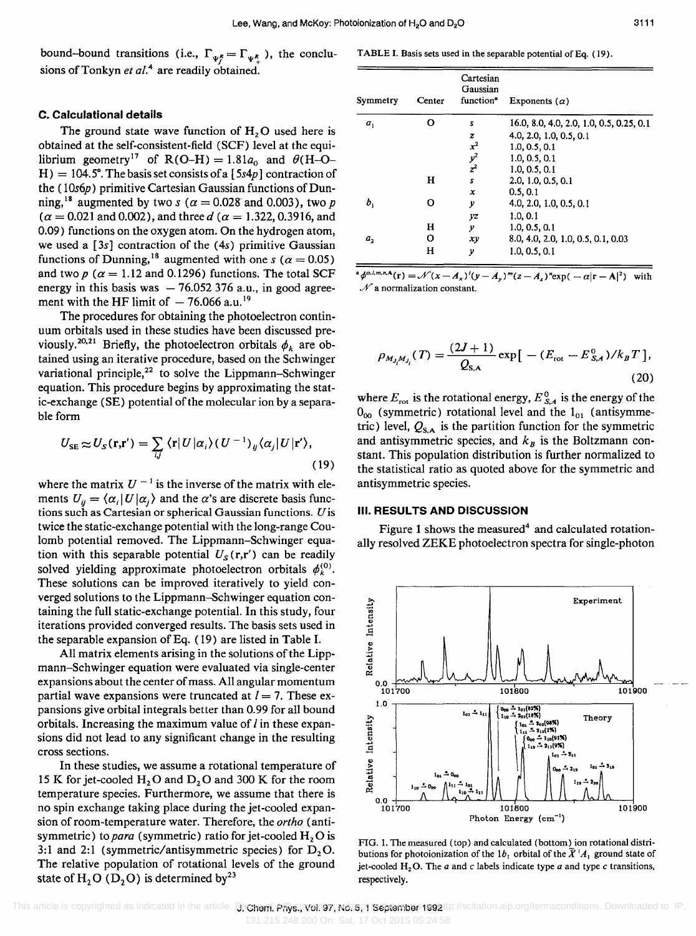bound-bound transitions (i.e.,  $\Gamma_{\Psi_1^R} = \Gamma_{\Psi_1^R}$ ), the conclusions of Tonkyn *et al.4* are readily obtained.

#### C. Calculational details

The ground state wave function of  $H<sub>2</sub>O$  used here is obtained at the self-consistent-field (SCF) level at the equilibrium geometry<sup>17</sup> of R(O-H) =  $1.81a_0$  and  $\theta$ (H-O- $H$ ) = 104.5°. The basis set consists of a [5s4p] contraction of the (10s6p) primitive Cartesian Gaussian functions of Dunning,<sup>18</sup> augmented by two s ( $\alpha = 0.028$  and 0.003), two p  $(\alpha = 0.021$  and 0.002), and three d ( $\alpha = 1.322, 0.3916$ , and 0.09) functions on the oxygen atom. On the hydrogen atom, we used a  $[3s]$  contraction of the  $(4s)$  primitive Gaussian functions of Dunning,<sup>18</sup> augmented with one s ( $\alpha = 0.05$ ) and two  $p$  ( $\alpha = 1.12$  and 0.1296) functions. The total SCF energy in this basis was  $-76.052376$  a.u., in good agreement with the HF limit of  $-76.066$  a.u.<sup>19</sup>

The procedures for obtaining the photoelectron continuum orbitals used in these studies have been discussed previously.<sup>20,21</sup> Briefly, the photoelectron orbitals  $\phi_k$  are obtained using an iterative procedure, based on the Schwinger variational principle, $22$  to solve the Lippmann-Schwinger equation. This procedure begins by approximating the static-exchange (SE) potential of the molecular ion by a separable form

$$
U_{\rm SE} \approx U_S(\mathbf{r}, \mathbf{r}') = \sum_{i,j} \langle \mathbf{r} | U | \alpha_i \rangle (U^{-1})_{ij} \langle \alpha_j | U | \mathbf{r}' \rangle, \tag{19}
$$

where the matrix  $U^{-1}$  is the inverse of the matrix with elements  $U_{ii} = \langle \alpha_i | U | \alpha_i \rangle$  and the  $\alpha$ 's are discrete basis functions such as Cartesian or spherical Gaussian functions. *U* is twice the static-exchange potential with the long-range Coulomb potential removed. The Lippmann-Schwinger equation with this separable potential  $U_s(\mathbf{r}, \mathbf{r}')$  can be readily solved yielding approximate photoelectron orbitals  $\phi_k^{(0)}$ . These solutions can be improved iteratively to yield converged solutions to the Lippmann-Schwinger equation containing the full static-exchange potential. In this study, four iterations provided converged results. The basis sets used in the separable expansion of Eq. (19) are listed in Table I.

All matrix elements arising in the solutions of the Lippmann-Schwinger equation were evaluated via single-center expansions about the center of mass. All angular momentum partial wave expansions were truncated at  $l = 7$ . These expansions give orbital integrals better than 0.99 for all bound orbitals. Increasing the maximum value of  *in these expan*sions did not lead to any significant change in the resulting cross sections.

In these studies, we assume a rotational temperature of 15 K for jet-cooled  $H_2O$  and  $D_2O$  and 300 K for the room temperature species. Furthermore, we assume that there is no spin exchange taking place during the jet-cooled expansion of room-temperature water. Therefore, the *artha* (antisymmetric) to *para* (symmetric) ratio for jet-cooled  $H_2O$  is 3:1 and 2:1 (symmetric/antisymmetric species) for  $D_2O$ . The relative population of rotational levels of the ground state of H<sub>2</sub>O (D<sub>2</sub>O) is determined by<sup>23</sup>

TABLE I. Basis sets used in the separable potential of Eq. (19).

| Symmetry | Center | Cartesian<br>Gaussian<br>function <sup>a</sup> | Exponents $(\alpha)$                     |
|----------|--------|------------------------------------------------|------------------------------------------|
| $a_{1}$  | ი      | S                                              | 16.0, 8.0, 4.0, 2.0, 1.0, 0.5, 0.25, 0.1 |
|          |        | z                                              | 4.0, 2.0, 1.0, 0.5, 0.1                  |
|          |        | $x^2$                                          | 1.0, 0.5, 0.1                            |
|          |        | $y^2$                                          | 1.0, 0.5, 0.1                            |
|          |        | $z^2$                                          | 1.0, 0.5, 0.1                            |
|          | н      | s                                              | 2.0, 1.0, 0.5, 0.1                       |
|          |        | x                                              | 0.5, 0.1                                 |
| ь,       | റ      | у                                              | 4.0, 2.0, 1.0, 0.5, 0.1                  |
|          |        | yz                                             | 1.0, 0.1                                 |
|          | н      | у                                              | 1.0, 0.5, 0.1                            |
| $a_{2}$  | о      | хy                                             | 8.0, 4.0, 2.0, 1.0, 0.5, 0.1, 0.03       |
|          | н      | v                                              | 1.0.0.5.0.1                              |

 $\mathcal{A}^{\alpha,l,m,n,\mathbf{A}}(\mathbf{r}) = \mathcal{N}(x - A_x)'(y - A_y)^m(z - A_z)^n \exp(-\alpha |\mathbf{r} - \mathbf{A}|^2)$  $\mathcal N$  a normalization constant.

$$
\rho_{M_{J_i}M_{J_i}}(T) = \frac{(2J+1)}{Q_{\rm S,A}} \exp\left[-(E_{\rm rot} - E_{S,A}^0)/k_B T\right],
$$
\n(20)

where  $E_{\text{rot}}$  is the rotational energy,  $E_{SA}^{0}$  is the energy of the  $0_{00}$  (symmetric) rotational level and the  $1_{01}$  (antisymmetric) level,  $Q_{s,A}$  is the partition function for the symmetric and antisymmetric species, and  $k_B$  is the Boltzmann constant. This population distribution is further normalized to the statistical ratio as quoted above for the symmetric and antisymmetric species.

#### III. RESULTS AND DISCUSSION

Figure 1 shows the measured<sup>4</sup> and calculated rotationally resolved ZEKE photoelectron spectra for single-photon



FIG. 1. The measured (top) and calculated (bottom) ion rotational distributions for photoionization of the  $1b_1$  orbital of the  $\tilde{X}^{\dagger}A_1$  ground state of jet-cooled  $H_2O$ . The *a* and *c* labels indicate type *a* and type *c* transitions, respectively.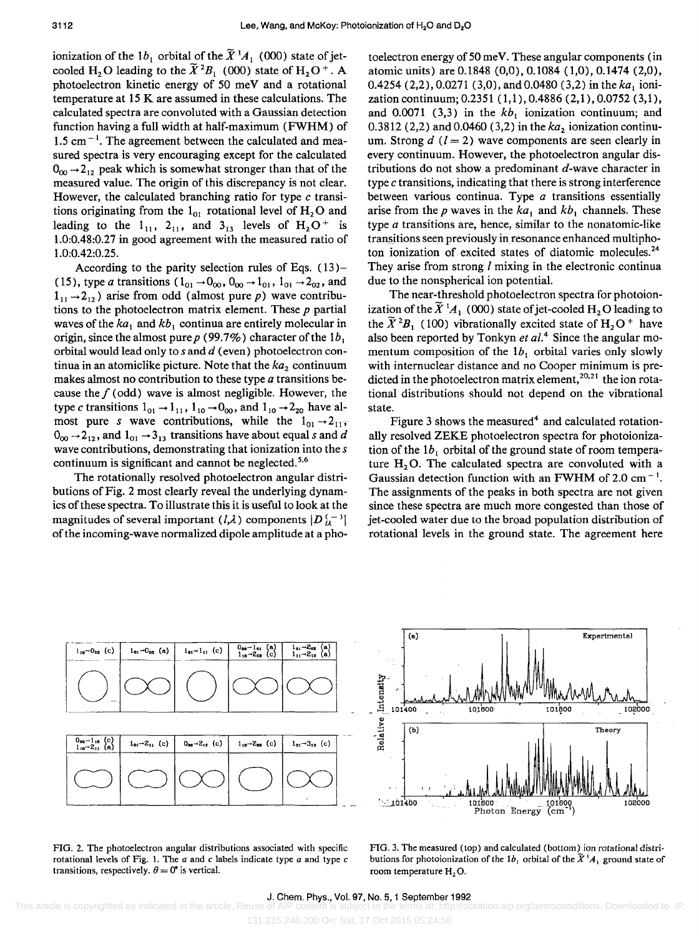ionization of the 1b<sub>1</sub> orbital of the  $\widetilde{X}^{1}A_1$  (000) state of jetcooled H<sub>2</sub>O leading to the  $\widetilde{X}^2B_1$  (000) state of H<sub>2</sub>O<sup>+</sup>. A photoelectron kinetic energy of 50 meV and a rotational temperature at 15 K are assumed in these calculations. The calculated spectra are convoluted with a Gaussian detection function having a full width at half-maximum (FWHM) of  $1.5$  cm<sup> $-1$ </sup>. The agreement between the calculated and measured spectra is very encouraging except for the calculated  $0_{00} \rightarrow 2_{12}$  peak which is somewhat stronger than that of the measured value. The origin of this discrepancy is not clear. However, the calculated branching ratio for type *c* transitions originating from the  $1_{01}$  rotational level of  $H_2O$  and leading to the  $1_{11}$ ,  $2_{11}$ , and  $3_{13}$  levels of  $H_2O^+$  is 1.0:0.48:0.27 in good agreement with the measured ratio of 1.0:0.42:0.25.

According to the parity selection rules of Eqs. (13)- (15), type a transitions ( $1_{01} \rightarrow 0_{00}$ ,  $0_{00} \rightarrow 1_{01}$ ,  $1_{01} \rightarrow 2_{02}$ , and  $1_{11} \rightarrow 2_{12}$ ) arise from odd (almost pure p) wave contributions to the photoelectron matrix element. These *p* partial waves of the  $ka_1$  and  $kb_1$  continua are entirely molecular in origin, since the almost pure  $p(99.7\%)$  character of the  $1b_1$ orbital would lead only to  $s$  and  $d$  (even) photoelectron continua in an atomiclike picture. Note that the  $ka<sub>2</sub>$  continuum makes almost no contribution to these type  $a$  transitions because the  $f$  (odd) wave is almost negligible. However, the type *c* transitions  $1_{01} \rightarrow 1_{11}$ ,  $1_{10} \rightarrow 0_{00}$ , and  $1_{10} \rightarrow 2_{20}$  have almost pure s wave contributions, while the  $1_{01} \rightarrow 2_{11}$  $0_{00} \rightarrow 2_{12}$ , and  $1_{01} \rightarrow 3_{13}$  transitions have about equal s and *d* wave contributions, demonstrating that ionization into the s continuum is significant and cannot be neglected.<sup>5,6</sup>

The rotationally resolved photoelectron angular distributions of Fig. 2 most clearly reveal the underlying dynamics of these spectra. To illustrate this it is useful to look at the magnitudes of several important  $(l,\lambda)$  components  $|D_{l\lambda}^{(-)}|$ of the incoming-wave normalized dipole amplitude at a photoelectron energy of 50 meV. These angular components (in atomic units) are 0.1848 (0,0), 0.1084 (1,0), 0.1474 (2,0), 0.4254 (2,2),0.0271 (3,0), and 0.0480 (3,2) in the *ka ,* ionization continuum; 0.2351 (1,1), 0.4886 (2,1), 0.0752 (3,1), and 0.0071 (3,3) in the  $kb_1$  ionization continuum; and 0.3812 (2,2) and 0.0460 (3,2) in the  $ka<sub>2</sub>$  ionization continuum. Strong  $d$  ( $l = 2$ ) wave components are seen clearly in every continuum. However, the photoelectron angular distributions do not show a predominant  $d$ -wave character in type *c* transitions, indicating that there is strong interference between various continua. Type  $a$  transitions essentially arise from the p waves in the  $ka_1$  and  $kb_1$  channels. These type  $a$  transitions are, hence, similar to the nonatomic-like transitions seen previously in resonance enhanced multiphoton ionization of excited states of diatomic molecules.<sup>24</sup> They arise from strong *l* mixing in the electronic continua due to the nonspherical ion potential.

The near-threshold photoelectron spectra for photoionization of the  $\widetilde{X}^{1}A_1$  (000) state of jet-cooled H<sub>2</sub>O leading to the  $\widetilde{X}^2 B_1$  (100) vibrationally excited state of  $H_2O^+$  have also been reported by Tonkyn *et al.4* Since the angular momentum composition of the  $1b_1$  orbital varies only slowly with internuclear distance and no Cooper minimum is predicted in the photoelectron matrix element,<sup>20,21</sup> the ion rotational distributions should not depend on the vibrational state.

Figure 3 shows the measured<sup>4</sup> and calculated rotationally resolved ZEKE photoelectron spectra for photoionization of the  $1b_1$  orbital of the ground state of room temperature *Hz* O. The calculated spectra are convoluted with a Gaussian detection function with an FWHM of 2.0 cm<sup> $-1$ </sup>. The assignments of the peaks in both spectra are not given since these spectra are much more congested than those of jet-cooled water due to the broad population distribution of rotational levels in the ground state. The agreement here





FIG. 3. The measured (top) and calculated (bottom) ion rotational distributions for photoionization of the 1b<sub>1</sub> orbital of the  $\bar{X}$ <sup>1</sup> $A_1$  ground state of room temperature H<sub>2</sub>O.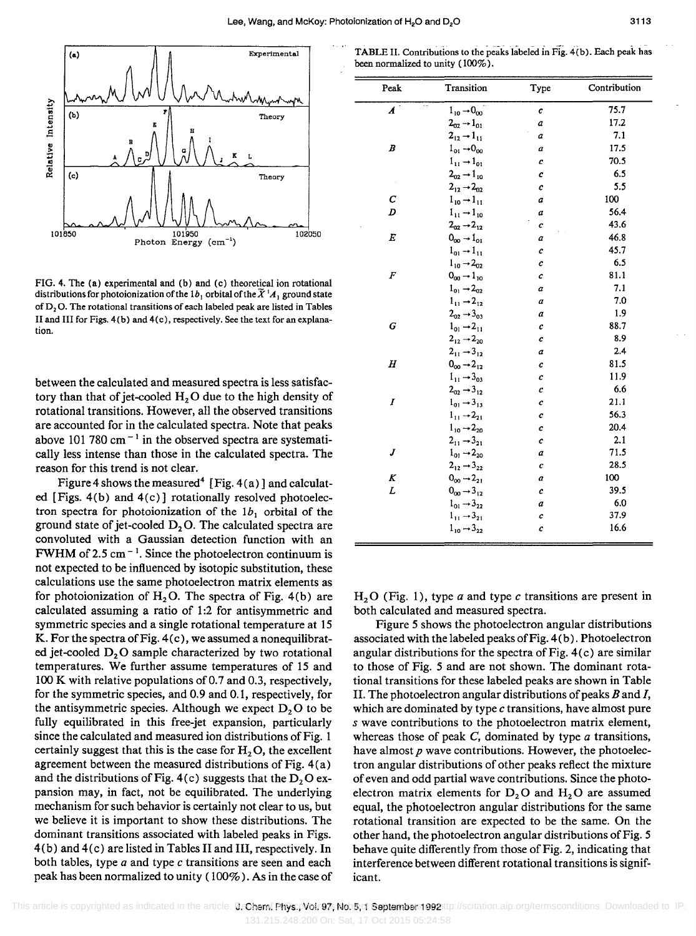

FIG. 4. The (a) experimental and (b) and (c) theoretical ion rotational distributions for photoionization of the 1b<sub>1</sub> orbital of the  $\widetilde{X}$ <sup>1</sup> $A_1$  ground state of  $D_2$ O. The rotational transitions of each labeled peak are listed in Tables II and III for Figs. 4(b) and 4(c), respectively. See the text for an explanation.

between the calculated and measured spectra is less satisfactory than that of jet-cooled  $H_2O$  due to the high density of rotational transitions. However, all the observed transitions are accounted for in the calculated spectra. Note that peaks above 101 780 cm<sup> $-1$ </sup> in the observed spectra are systematically less intense than those in the calculated spectra. The reason for this trend is not clear.

Figure 4 shows the measured<sup>4</sup> [Fig. 4(a)] and calculated [Figs. 4(b) and 4(c)] rotationally resolved photoelectron spectra for photoionization of the  $1b_1$  orbital of the ground state of jet-cooled  $D_2O$ . The calculated spectra are convoluted with a Gaussian detection function with an FWHM of 2.5 cm<sup> $-1$ </sup>. Since the photoelectron continuum is not expected to be influenced by isotopic substitution, these calculations use the same photoelectron matrix elements as for photoionization of  $H_2O$ . The spectra of Fig. 4(b) are calculated assuming a ratio of 1:2 for antisymmetric and symmetric species and a single rotational temperature at 15 K. For the spectra of Fig. 4(c), we assumed a nonequilibrated jet-cooled  $D<sub>2</sub>O$  sample characterized by two rotational temperatures. We further assume temperatures of 15 and 100 K with relative populations of 0.7 and 0.3, respectively, for the symmetric species, and 0.9 and 0.1, respectively, for the antisymmetric species. Although we expect  $D<sub>2</sub>O$  to be fully equilibrated in this free-jet expansion, particularly since the calculated and measured ion distributions of Fig. 1 certainly suggest that this is the case for  $H<sub>2</sub>O$ , the excellent agreement between the measured distributions of Fig. 4(a) and the distributions of Fig. 4(c) suggests that the  $D_2O$  expansion may, in fact, not be equilibrated. The underlying mechanism for such behavior is certainly not clear to us, but we believe it is important to show these distributions. The dominant transitions associated with labeled peaks in Figs. 4(b) and4(c) are listed in Tables II and III, respectively. In both tables, type *a* and type c transitions are seen and each peak has been normalized to unity (100%). As in the case of

TABLE II. Contributions to the peaks labeled in Fig. 4(b). Each peak has been normalized to unity (100%).

| Peak             | Transition                                | Type | Contribution |
|------------------|-------------------------------------------|------|--------------|
| $\boldsymbol{A}$ | $1_{10} \rightarrow 0_{00}$               | c    | 75.7         |
|                  | $2_{02} - 1_{01}$                         | a    | 17.2         |
|                  | $2_{12} \rightarrow 1_{11}$               | a    | 7.1          |
| B                | $1_{01} \rightarrow 0_{00}$               | a    | 17.5         |
|                  | $1_{11} \rightarrow 1_{01}$               | C    | 70.5         |
|                  | $2_{\text{co}} \rightarrow 1_{10}$        | с    | 6.5          |
|                  | $2_{12} \rightarrow 2_{02}$               | c    | 5.5          |
| с                | $1_{10} \rightarrow 1_{11}$               | a    | 100          |
| D                | $1_{11} \rightarrow 1_{10}$               | a    | 56.4         |
|                  | $2_{02}$ $\rightarrow$ $2_{12}$           | с    | 43.6         |
| E                | $0_{\text{no}} \rightarrow 1_{\text{on}}$ | a    | 46.8         |
|                  | $1_{01} \rightarrow 1_{11}$               | с    | 45.7         |
|                  | $1_{10}$ $\rightarrow$ $2_{02}$           | c    | 6.5          |
| F                | $0_{\text{on}} \rightarrow 1_{10}$        | c    | 81.1         |
|                  | $1_{01} \rightarrow 2_{02}$               | a    | 7.1          |
|                  | $1_{11} \rightarrow 2_{12}$               | a    | 7.0          |
|                  | $2_{02} \rightarrow 3_{03}$               | a    | 1.9          |
| G                | $1_{01} \rightarrow 2_{11}$               | с    | 88.7         |
|                  | $2_{12} \rightarrow 2_{20}$               | с    | 8.9          |
|                  | $2_{11} \rightarrow 3_{12}$               | a    | 2.4          |
| Η                | $0_{00} \rightarrow 2_{12}$               | c    | 81.5         |
|                  | $1_{11} \rightarrow 3_{03}$               | с    | 11.9         |
|                  | $2_{02} \rightarrow 3_{12}$               | с    | 6.6          |
| Ι                | $1_{01} \rightarrow 3_{13}$               | c    | 21.1         |
|                  | $1_{11} \rightarrow 2_{21}$               | с    | 56.3         |
|                  | $1_{10}$ $\rightarrow$ $2_{20}$           | c    | 20.4         |
|                  | $2_{11} \rightarrow 3_{21}$               | C    | 2.1          |
| J                | $1_{01}$ $\rightarrow$ 2 <sub>20</sub>    | a    | 71.5         |
|                  | $2_{12}$ $\rightarrow$ $3_{22}$           | с    | 28.5         |
| K                | $0_{00}$ $\rightarrow$ $2_{21}$           | a    | 100          |
| L                | $0_{00} \rightarrow 3_{12}$               | с    | 39.5         |
|                  | $1_{01} \rightarrow 3_{22}$               | a    | 6.0          |
|                  | $1_{11} \rightarrow 3_{21}$               | c    | 37.9         |
|                  | $1_{10}$ $\rightarrow$ $3_{22}$           | с    | 16.6         |

 $H<sub>2</sub>O$  (Fig. 1), type *a* and type *c* transitions are present in both calculated and measured spectra.

Figure 5 shows the photoelectron angular distributions associated with the labeled peaks of Fig. 4 (b). Photoelectron angular distributions for the spectra of Fig.  $4(c)$  are similar to those of Fig. 5 and are not shown. The dominant rotational transitions for these labeled peaks are shown in Table II. The photoelectron angular distributions of peaks *B* and *I,*  which are dominated by type c transitions, have almost pure s wave contributions to the photoelectron matrix element, whereas those of peak  $C$ , dominated by type  $a$  transitions, have almost *p* wave contributions. However, the photoelectron angular distributions of other peaks reflect the mixture of even and odd partial wave contributions. Since the photoelectron matrix elements for  $D_2O$  and  $H_2O$  are assumed equal, the photoelectron angular distributions for the same rotational transition are expected to be the same. On the other hand, the photoelectron angular distributions of Fig. 5 behave quite differently from those of Fig. 2, indicating that interference between different rotational transitions is significant.